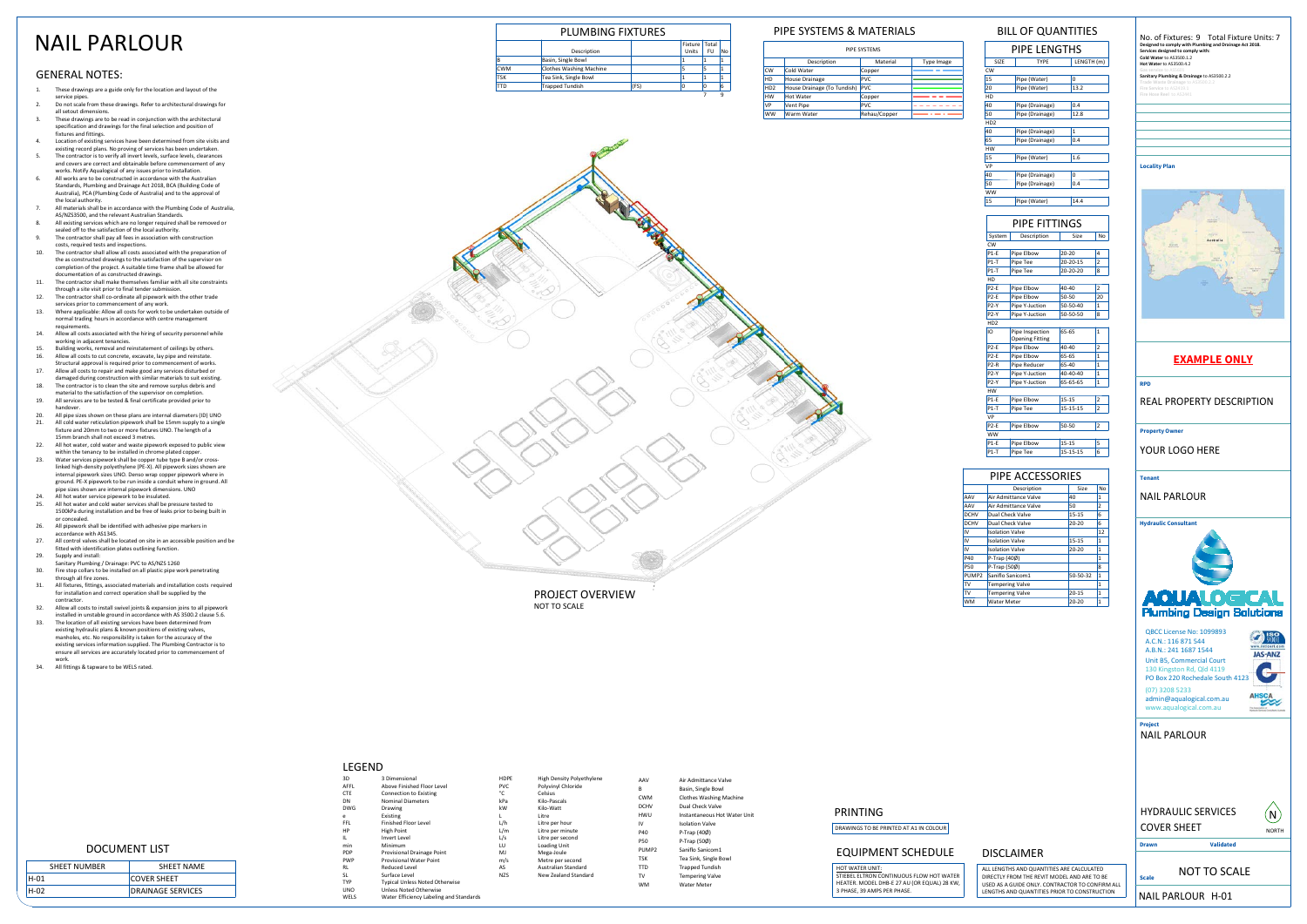NOT TO SCALEPROJECT OVERVIEW

SHEET NUMBER

H-01

H-02

DRAINAGE SERVICES

| AAV               | Air Admittance Valve           |
|-------------------|--------------------------------|
| в                 | Basin, Single Bowl             |
| CMM               | <b>Clothes Washing Machine</b> |
| <b>DCHV</b>       | Dual Check Valve               |
| HWU               | Instantaneous Hot Water Unit   |
| IV                | <b>Isolation Valve</b>         |
| P40               | P-Trap (40Ø)                   |
| <b>P50</b>        | P-Trap (500)                   |
| PUMP <sub>2</sub> | Saniflo Sanicom1               |
| <b>TSK</b>        | Tea Sink, Single Bowl          |
| <b>TTD</b>        | <b>Trapped Tundish</b>         |
| TV                | <b>Tempering Valve</b>         |
| wм                | Water Meter                    |

| PIPE LENGTHS    |                         |            |  |
|-----------------|-------------------------|------------|--|
| SIZE            | <b>TYPF</b>             | LENGTH (m) |  |
| CW              |                         |            |  |
| 15              | Pipe (Water)            | 0          |  |
| 20              | Pipe (Water)            | 13.2       |  |
| HD              |                         |            |  |
| 40              | Pipe (Drainage)         | 0.4        |  |
| 50              | 12.8<br>Pipe (Drainage) |            |  |
| HD <sub>2</sub> |                         |            |  |
| 40              | Pipe (Drainage)         | 1          |  |
| 65              | Pipe (Drainage)         | 0.4        |  |
| HW              |                         |            |  |
| 15              | Pipe (Water)            | 1.6        |  |
| VP              |                         |            |  |
| 40              | Pipe (Drainage)         | 0          |  |
| 50              | Pipe (Drainage)         | 0.4        |  |
| ww              |                         |            |  |
| 15              | Pipe (Water)            | 14.4       |  |
|                 |                         |            |  |

# PIPE FITTINGS

| System            | Description            | Size      | No             |
|-------------------|------------------------|-----------|----------------|
| CW                |                        |           |                |
| $P1-F$            | Pipe Elbow             | $20 - 20$ | 4              |
| $P1-T$            | Pipe Tee               | 20-20-15  | $\overline{2}$ |
| $P1-T$            | Pipe Tee               | 20-20-20  | 8              |
| HD                |                        |           |                |
| P <sub>2-F</sub>  | Pipe Elbow             | 40-40     | $\overline{2}$ |
| P <sub>2-F</sub>  | Pipe Elbow             | 50-50     | 20             |
| P2-Y              | Pipe Y-Juction         | 50-50-40  | $\mathbf{1}$   |
| P2-Y              | Pipe Y-Juction         | 50-50-50  | 8              |
| HD <sub>2</sub>   |                        |           |                |
| ıΩ                | Pipe Inspection        | 65-65     | $\overline{1}$ |
|                   | <b>Opening Fitting</b> |           |                |
| <b>P2-E</b>       | Pipe Elbow             | 40-40     | $\overline{c}$ |
| P <sub>2-F</sub>  | Pipe Elbow             | 65-65     | 1              |
| $P2-R$            | Pipe Reducer           | 65-40     | $\mathbf{1}$   |
| P2-Y              | Pipe Y-Juction         | 40-40-40  | $\mathbf{1}$   |
| P2-Y              | Pipe Y-Juction         | 65-65-65  | $\overline{1}$ |
| HW                |                        |           |                |
| $P1-F$            | Pipe Elbow             | $15 - 15$ | $\overline{2}$ |
| $P1-T$            | Pipe Tee               | 15-15-15  | $\overline{2}$ |
| VP                |                        |           |                |
| P <sub>2</sub> -F | Pipe Elbow             | 50-50     | $\overline{2}$ |
| ww                |                        |           |                |
| $P1-E$            | Pipe Elbow             | $15 - 15$ | 5              |
| $P1-T$            | Pipe Tee               | 15-15-15  | 6              |
|                   |                        |           |                |

### PIPE ACCESSORIES

|             | Description            | Size      | No             |
|-------------|------------------------|-----------|----------------|
| AAV         | Air Admittance Valve   | 40        | 1              |
| AAV         | Air Admittance Valve   | 50        | $\overline{2}$ |
| <b>DCHV</b> | Dual Check Valve       | $15 - 15$ | 6              |
| <b>DCHV</b> | Dual Check Valve       | $20 - 20$ | 6              |
| IV          | <b>Isolation Valve</b> |           | 12             |
| IV          | <b>Isolation Valve</b> | $15 - 15$ | 1              |
| IV          | <b>Isolation Valve</b> | $20 - 20$ | 1              |
| P40         | P-Trap (40Ø)           |           | 1              |
| P50         | P-Trap (50Ø)           |           | 8              |
| PUMP2       | Saniflo Sanicom1       | 50-50-32  | $\mathbf{1}$   |
| TV          | <b>Tempering Valve</b> |           | $\mathbf{1}$   |
| TV          | <b>Tempering Valve</b> | $20 - 15$ | $\mathbf{1}$   |
| <b>WM</b>   | <b>Water Meter</b>     | $20 - 20$ | 1              |
|             |                        |           |                |

| PIPE SYSTEMS                |                             |              |            |
|-----------------------------|-----------------------------|--------------|------------|
|                             | Description                 | Material     | Type Image |
| <b>CW</b>                   | Cold Water                  | Copper       |            |
| HD                          | House Drainage              | <b>PVC</b>   |            |
| H <sub>D</sub> <sub>2</sub> | House Drainage (To Tundish) | <b>PVC</b>   |            |
| <b>HW</b>                   | Hot Water                   | Copper       |            |
| VP                          | Vent Pipe                   | <b>PVC</b>   |            |
| <b>WW</b>                   | Warm Water                  | Rehau/Copper |            |



| STIEBEL ELTRON CONTINUOUS FLOW HOT WATER    |
|---------------------------------------------|
| HEATER. MODEL DHB-E 27 AU (OR EQUAL) 28 KW, |
| 3 PHASE, 39 AMPS PER PHASE.                 |

## EQUIPMENT SCHEDULE

# PLUMBING FIXTURES

|            |                                |      | Fixture   Total |    |    |  |
|------------|--------------------------------|------|-----------------|----|----|--|
|            | Description                    |      | Units           | FU | No |  |
| B          | Basin, Single Bowl             |      |                 |    |    |  |
| <b>CWM</b> | <b>Clothes Washing Machine</b> |      |                 |    |    |  |
| <b>TSK</b> | Tea Sink, Single Bowl          |      |                 |    |    |  |
| <b>TTD</b> | <b>Trapped Tundish</b>         | (FS) | Ω               |    | 6  |  |
|            |                                |      |                 |    |    |  |

# NAIL PARLOUR

ALL LENGTHS AND QUANTITIES ARE CALCULATED DIRECTLY FROM THE REVIT MODEL AND ARE TO BE USED AS A GUIDE ONLY. CONTRACTOR TO CONFIRM ALL LENGTHS AND QUANTITIES PRIOR TO CONSTRUCTION

| DOCUMENT LIST |                    |
|---------------|--------------------|
| IMBER         | <b>SHEET NAME</b>  |
|               | <b>COVER SHEET</b> |

- 1.These drawings are a guide only for the location and layout of the
- service pipes. Do not scale from these drawings. Refer to architectural drawings for 2.all setout dimensions.
- These drawings are to be read in conjunction with the architectural specification and drawings for the final selection and position of 3.
- fixtures and fittings. Location of existing services have been determined from site visits and 4.existing record plans. No proving of services has been undertaken. The contractor is to verify all invert levels, surface levels, clearances 5.
- and covers are correct and obtainable before commencement of any works. Notify Aqualogical of any issues prior to installation. All works are to be constructed in accordance with the Australian 6.
- Standards, Plumbing and Drainage Act 2018, BCA (Building Code of Australia), PCA (Plumbing Code of Australia) and to the approval of the local authority.7.
- All materials shall be in accordance with the Plumbing Code of Australia,<br>AS/NZ33500, and the relevant Australian Standards.<br>All existing services which are no longer required shall be removed or<br>sealed off to the satisfac 8.
- 9.The contractor shall pay all fees in association with construction
- costs, required tests and inspections. The contractor shall allow all costs associated with the preparation of 10.the as constructed drawings to the satisfaction of the supervisor on completion of the project. A suitable time frame shall be allowed for documentation of as constructed drawings.
- The contractor shall make themselves familiar with all site constraints through a site visit prior to final tender submission. 11.12.
- The contractor shall co-ordinate all pipework with the other trade services prior to commencement of any work.
- 13. Where applicable: Allow all costs for work to be undertaken outside of normal trading hours in accordance with centre management requirements.
- Allow all costs associated with the hiring of security personnel while 14.working in adjacent tenancies.
- 15. Building works, removal and reinstatement of ceilings by others. 16.Allow all costs to cut concrete, excavate, lay pipe and reinstate. Structural approval is required prior to commencement of works.
- 17.Allow all costs to repair and make good any services disturbed or damaged during construction with similar materials to suit existing.
- 18. The contractor is to clean the site and remove surplus debris and material to the satisfaction of the supervisor on completion. All services are to be tested & final certificate provided prior to 19.
- handover. All pipe sizes shown on these plans are internal diameters (ID) UNO20.21.
- All cold water reticulation pipework shall be 15mm supply to a single fixture and 20mm to two or more fixtures UNO. The length of a 15mm branch shall not exceed 3 metres. All hot water, cold water and waste pipework exposed to public view within the tenancy to be installed in chrome plated copper.22.
- Water services pipework shall be copper tube type B and/or cross-23.
- linked high-density polyethylene (PE-X). All pipework sizes shown are internal pipework sizes UNO. Denso wrap copper pipework where in ground. PE-X pipework to be run inside a conduit where in ground. All pipe sizes shown are internal pipework dimensions. UNO24.All hot water service pipework to be insulated.
- 25. All hot water and cold water services shall be pressure tested to 1500kPa during installation and be free of leaks prior to being built in or concealed.
- All pipework shall be identified with adhesive pipe markers in 26.accordance with AS1345.
- All control valves shall be located on site in an accessible position and be 27.fitted with identification plates outlining function.29.
- Supply and install: Sanitary Plumbing / Drainage: PVC to AS/NZS 1260
- Fire stop collars to be installed on all plastic pipe work penetrating 30.nrough all fire zones.
- All fixtures, fittings, associated materials and installation costs required 31.for installation and correct operation shall be supplied by the contractor.
- 32. Allow all costs to install swivel joints & expansion joins to all pipework installed in unstable ground in accordance with AS 3500.2 clause 5.6. The location of all existing services have been determined from 33.existing hydraulic plans & known positions of existing valves, manholes, etc. No responsibility is taken for the accuracy of the existing services information supplied. The Plumbing Contractor is to
- ensure all services are accurately located prior to commencement of work. All fittings & tapware to be WELS rated. 34.
- 

# DISCLAIMER

DN

 $\overline{D}$ 

| 3D          | 3 Dimensional                           |
|-------------|-----------------------------------------|
| <b>AFFL</b> | Above Finished Floor Level              |
| <b>CTE</b>  | <b>Connection to Existing</b>           |
| <b>DN</b>   | <b>Nominal Diameters</b>                |
| <b>DWG</b>  | Drawing                                 |
| e           | Existing                                |
| FFI.        | <b>Finished Floor Level</b>             |
| HP          | High Point                              |
| н.          | Invert Level                            |
| min         | Minimum                                 |
| PDP         | Provisional Drainage Point              |
| <b>PWP</b>  | <b>Provisional Water Point</b>          |
| <b>RI</b>   | Reduced Level                           |
| SL.         | Surface Level                           |
| <b>TYP</b>  | <b>Typical Unless Noted Otherwise</b>   |
| <b>UNO</b>  | <b>Unless Noted Otherwise</b>           |
| WFLS        | Water Efficiency Labeling and Standards |
|             |                                         |

### 3DAFFLLEGEND

 $CT$ 

kW

L/h

| HDPF       | <b>High Density Polyethylene</b> |
|------------|----------------------------------|
| <b>PVC</b> | Polyvinyl Chloride               |
| °۲         | Celsius                          |
| kPa        | Kilo-Pascals                     |
| kW         | Kilo-Watt                        |
| L          | I itre                           |
| L/h        | Litre per hour                   |
| L/m        | Litre per minute                 |
| L/s        | Litre per second                 |
| ПΠ         | <b>Loading Unit</b>              |
| MI         | Mega-Joule                       |
| m/s        | Metre per second                 |
| AS         | Australian Standard              |
| N7S        | New Zealand Standard             |
|            |                                  |

m/s

AS

NZS

# BILL OF QUANTITIES

NOT TO SCALE

**Scale**



NAIL PARLOUR



NAIL PARLOUR H-01

## PIPE SYSTEMS & MATERIALS

## GENERAL NOTES:

# PRINTING

DRAWINGS TO BE PRINTED AT A1 IN COLOUR